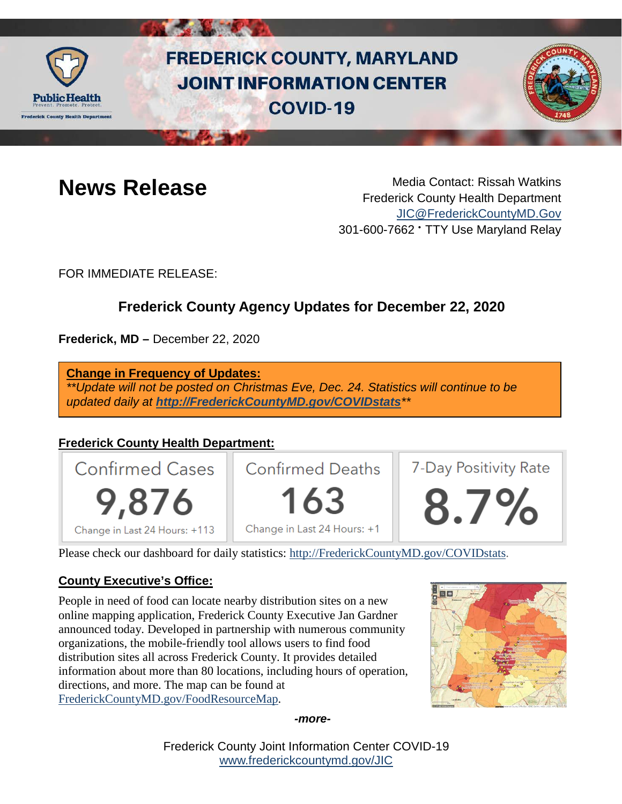

# **FREDERICK COUNTY, MARYLAND JOINT INFORMATION CENTER COVID-19**



**News Release** Media Contact: Rissah Watkins Frederick County Health Department [JIC@FrederickCountyMD.Gov](mailto:JIC@FrederickCountyMD.Gov) 301-600-7662 • TTY Use Maryland Relay

FOR IMMEDIATE RELEASE:

# **Frederick County Agency Updates for December 22, 2020**

**Frederick, MD –** December 22, 2020

**Change in Frequency of Updates:**

*\*\*Update will not be posted on Christmas Eve, Dec. 24. Statistics will continue to be updated daily at [http://FrederickCountyMD.gov/COVIDstats](http://frederickcountymd.gov/COVIDstats)\*\**

## **Frederick County Health Department:**



Please check our dashboard for daily statistics: [http://FrederickCountyMD.gov/COVIDstats.](http://frederickcountymd.gov/COVIDstats)

### **County Executive's Office:**

People in need of food can locate nearby distribution sites on a new online mapping application, Frederick County Executive Jan Gardner announced today. Developed in partnership with numerous community organizations, the mobile-friendly tool allows users to find food distribution sites all across Frederick County. It provides detailed information about more than 80 locations, including hours of operation, directions, and more. The map can be found at [FrederickCountyMD.gov/FoodResourceMap.](https://fcgmd.maps.arcgis.com/apps/webappviewer/index.html?id=d666d90246c1495392d777191934707e)



*-more-*

Frederick County Joint Information Center COVID-19 [www.frederickcountymd.gov/JIC](https://frederickcountymd.gov/JIC)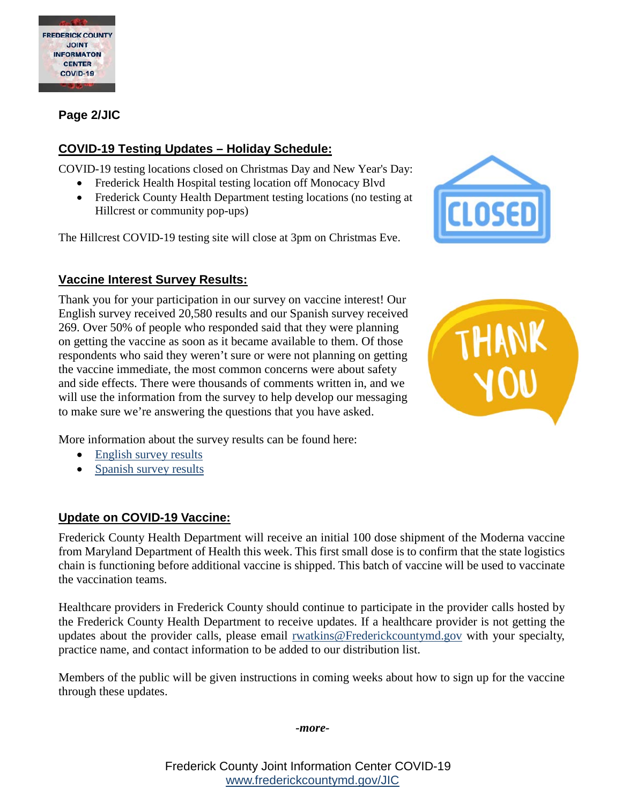

**Page 2/JIC**

#### **COVID-19 Testing Updates – Holiday Schedule:**

COVID-19 testing locations closed on Christmas Day and New Year's Day:

- Frederick Health Hospital testing location off Monocacy Blvd
- Frederick County Health Department testing locations (no testing at Hillcrest or community pop-ups)

The Hillcrest COVID-19 testing site will close at 3pm on Christmas Eve.

### **Vaccine Interest Survey Results:**

Thank you for your participation in our survey on vaccine interest! Our English survey received 20,580 results and our Spanish survey received 269. Over 50% of people who responded said that they were planning on getting the vaccine as soon as it became available to them. Of those respondents who said they weren't sure or were not planning on getting the vaccine immediate, the most common concerns were about safety and side effects. There were thousands of comments written in, and we will use the information from the survey to help develop our messaging to make sure we're answering the questions that you have asked.





More information about the survey results can be found here:

- [English survey results](https://health.frederickcountymd.gov/DocumentCenter/View/6487/Frederick-County-Vaccine-Interest-Survey-122020-English)
- [Spanish survey results](https://health.frederickcountymd.gov/DocumentCenter/View/6488/Frederick-County-Vaccine-Interest-Survey-122020-Spanish)

#### **Update on COVID-19 Vaccine:**

Frederick County Health Department will receive an initial 100 dose shipment of the Moderna vaccine from Maryland Department of Health this week. This first small dose is to confirm that the state logistics chain is functioning before additional vaccine is shipped. This batch of vaccine will be used to vaccinate the vaccination teams.

Healthcare providers in Frederick County should continue to participate in the provider calls hosted by the Frederick County Health Department to receive updates. If a healthcare provider is not getting the updates about the provider calls, please email [rwatkins@Frederickcountymd.gov](mailto:rwatkins@Frederickcountymd.gov) with your specialty, practice name, and contact information to be added to our distribution list.

Members of the public will be given instructions in coming weeks about how to sign up for the vaccine through these updates.

*-more-*

Frederick County Joint Information Center COVID-19 [www.frederickcountymd.gov/JIC](https://frederickcountymd.gov/JIC)